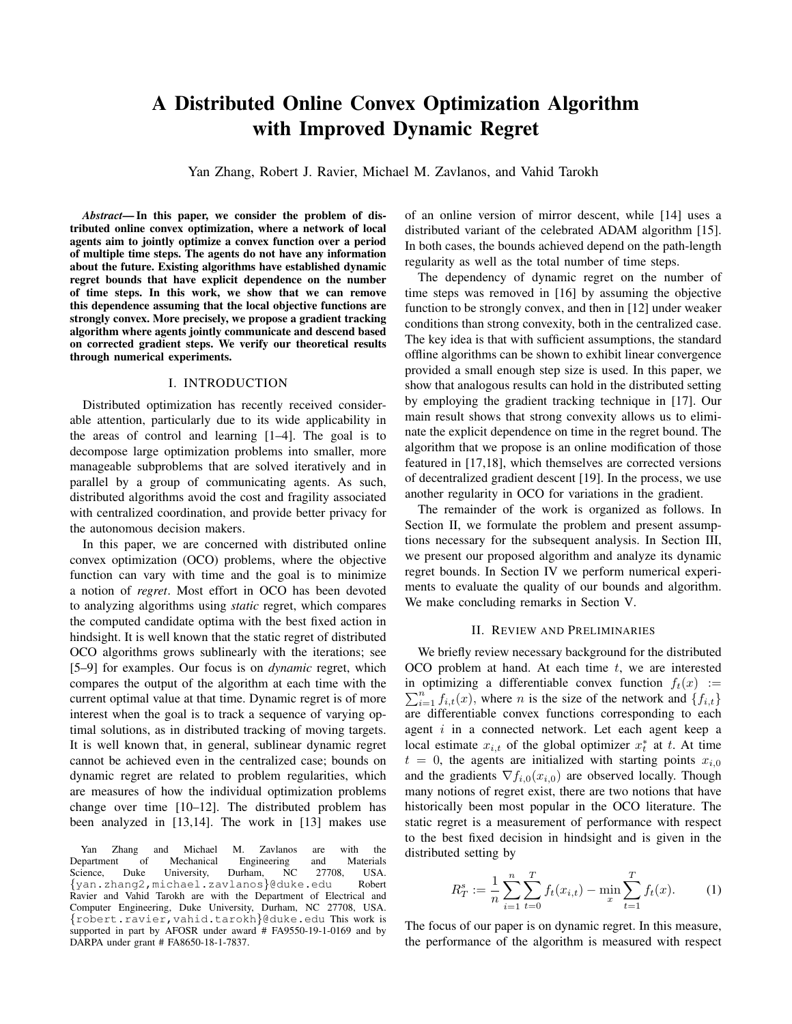# A Distributed Online Convex Optimization Algorithm with Improved Dynamic Regret

Yan Zhang, Robert J. Ravier, Michael M. Zavlanos, and Vahid Tarokh

*Abstract*— In this paper, we consider the problem of distributed online convex optimization, where a network of local agents aim to jointly optimize a convex function over a period of multiple time steps. The agents do not have any information about the future. Existing algorithms have established dynamic regret bounds that have explicit dependence on the number of time steps. In this work, we show that we can remove this dependence assuming that the local objective functions are strongly convex. More precisely, we propose a gradient tracking algorithm where agents jointly communicate and descend based on corrected gradient steps. We verify our theoretical results through numerical experiments.

## I. INTRODUCTION

Distributed optimization has recently received considerable attention, particularly due to its wide applicability in the areas of control and learning [1–4]. The goal is to decompose large optimization problems into smaller, more manageable subproblems that are solved iteratively and in parallel by a group of communicating agents. As such, distributed algorithms avoid the cost and fragility associated with centralized coordination, and provide better privacy for the autonomous decision makers.

In this paper, we are concerned with distributed online convex optimization (OCO) problems, where the objective function can vary with time and the goal is to minimize a notion of *regret*. Most effort in OCO has been devoted to analyzing algorithms using *static* regret, which compares the computed candidate optima with the best fixed action in hindsight. It is well known that the static regret of distributed OCO algorithms grows sublinearly with the iterations; see [5–9] for examples. Our focus is on *dynamic* regret, which compares the output of the algorithm at each time with the current optimal value at that time. Dynamic regret is of more interest when the goal is to track a sequence of varying optimal solutions, as in distributed tracking of moving targets. It is well known that, in general, sublinear dynamic regret cannot be achieved even in the centralized case; bounds on dynamic regret are related to problem regularities, which are measures of how the individual optimization problems change over time [10–12]. The distributed problem has been analyzed in [13,14]. The work in [13] makes use

Yan Zhang and Michael M. Zavlanos are with the Department of Mechanical Engineering and Materials<br>Science, Duke University, Durham, NC 27708, USA. Science, Duke University, Durham, NC 27708, USA. {yan.zhang2,michael.zavlanos}@duke.edu Robert Ravier and Vahid Tarokh are with the Department of Electrical and Computer Engineering, Duke University, Durham, NC 27708, USA. {robert.ravier,vahid.tarokh}@duke.edu This work is supported in part by AFOSR under award # FA9550-19-1-0169 and by DARPA under grant # FA8650-18-1-7837.

of an online version of mirror descent, while [14] uses a distributed variant of the celebrated ADAM algorithm [15]. In both cases, the bounds achieved depend on the path-length regularity as well as the total number of time steps.

The dependency of dynamic regret on the number of time steps was removed in [16] by assuming the objective function to be strongly convex, and then in [12] under weaker conditions than strong convexity, both in the centralized case. The key idea is that with sufficient assumptions, the standard offline algorithms can be shown to exhibit linear convergence provided a small enough step size is used. In this paper, we show that analogous results can hold in the distributed setting by employing the gradient tracking technique in [17]. Our main result shows that strong convexity allows us to eliminate the explicit dependence on time in the regret bound. The algorithm that we propose is an online modification of those featured in [17,18], which themselves are corrected versions of decentralized gradient descent [19]. In the process, we use another regularity in OCO for variations in the gradient.

The remainder of the work is organized as follows. In Section II, we formulate the problem and present assumptions necessary for the subsequent analysis. In Section III, we present our proposed algorithm and analyze its dynamic regret bounds. In Section IV we perform numerical experiments to evaluate the quality of our bounds and algorithm. We make concluding remarks in Section V.

#### II. REVIEW AND PRELIMINARIES

We briefly review necessary background for the distributed OCO problem at hand. At each time  $t$ , we are interested in optimizing a differentiable convex function  $f_t(x) :=$  $\sum_{i=1}^{n} f_{i,t}(x)$ , where *n* is the size of the network and  $\{f_{i,t}\}$ are differentiable convex functions corresponding to each agent  $i$  in a connected network. Let each agent keep a local estimate  $x_{i,t}$  of the global optimizer  $x_t^*$  at t. At time  $t = 0$ , the agents are initialized with starting points  $x_{i,0}$ and the gradients  $\nabla f_{i,0}(x_{i,0})$  are observed locally. Though many notions of regret exist, there are two notions that have historically been most popular in the OCO literature. The static regret is a measurement of performance with respect to the best fixed decision in hindsight and is given in the distributed setting by

$$
R_T^s := \frac{1}{n} \sum_{i=1}^n \sum_{t=0}^T f_t(x_{i,t}) - \min_x \sum_{t=1}^T f_t(x).
$$
 (1)

The focus of our paper is on dynamic regret. In this measure, the performance of the algorithm is measured with respect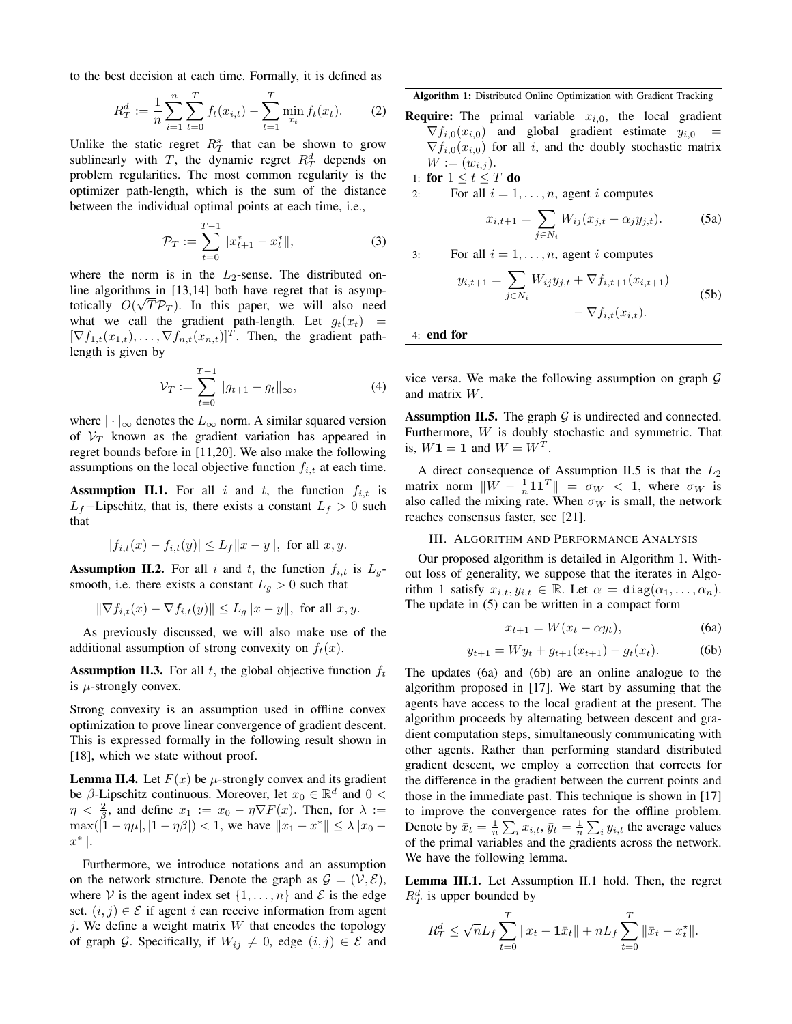to the best decision at each time. Formally, it is defined as

$$
R_T^d := \frac{1}{n} \sum_{i=1}^n \sum_{t=0}^T f_t(x_{i,t}) - \sum_{t=1}^T \min_{x_t} f_t(x_t).
$$
 (2)

Unlike the static regret  $R_T^s$  that can be shown to grow sublinearly with T, the dynamic regret  $R_T^d$  depends on problem regularities. The most common regularity is the optimizer path-length, which is the sum of the distance between the individual optimal points at each time, i.e.,

$$
\mathcal{P}_T := \sum_{t=0}^{T-1} \|x_{t+1}^* - x_t^*\|,\tag{3}
$$

where the norm is in the  $L_2$ -sense. The distributed online algorithms in [13,14] both have regret that is asymptotically  $O(\sqrt{TP_T})$ . In this paper, we will also need what we call the gradient path-length. Let  $g_t(x_t)$  =  $[\nabla f_{1,t}(x_{1,t}), \ldots, \nabla f_{n,t}(x_{n,t})]^T$ . Then, the gradient pathlength is given by

$$
\mathcal{V}_T := \sum_{t=0}^{T-1} \|g_{t+1} - g_t\|_{\infty},\tag{4}
$$

where  $\|\cdot\|_{\infty}$  denotes the  $L_{\infty}$  norm. A similar squared version of  $V_T$  known as the gradient variation has appeared in regret bounds before in [11,20]. We also make the following assumptions on the local objective function  $f_{i,t}$  at each time.

**Assumption II.1.** For all i and t, the function  $f_{i,t}$  is  $L_f$ –Lipschitz, that is, there exists a constant  $L_f > 0$  such that

$$
|f_{i,t}(x) - f_{i,t}(y)| \le L_f \|x - y\|, \text{ for all } x, y.
$$

**Assumption II.2.** For all i and t, the function  $f_{i,t}$  is  $L_q$ smooth, i.e. there exists a constant  $L_q > 0$  such that

$$
\|\nabla f_{i,t}(x) - \nabla f_{i,t}(y)\| \le L_g \|x - y\|, \text{ for all } x, y.
$$

As previously discussed, we will also make use of the additional assumption of strong convexity on  $f_t(x)$ .

**Assumption II.3.** For all t, the global objective function  $f_t$ is  $\mu$ -strongly convex.

Strong convexity is an assumption used in offline convex optimization to prove linear convergence of gradient descent. This is expressed formally in the following result shown in [18], which we state without proof.

**Lemma II.4.** Let  $F(x)$  be  $\mu$ -strongly convex and its gradient be  $\beta$ -Lipschitz continuous. Moreover, let  $x_0 \in \mathbb{R}^d$  and  $0 <$  $\eta < \frac{2}{\beta}$ , and define  $x_1 := x_0 - \eta \nabla F(x)$ . Then, for  $\lambda :=$  $\max(|1 - \eta\mu|, |1 - \eta\beta|) < 1$ , we have  $||x_1 - x^*|| \le \lambda ||x_0$  $x^*$ ||.

Furthermore, we introduce notations and an assumption on the network structure. Denote the graph as  $\mathcal{G} = (\mathcal{V}, \mathcal{E}),$ where V is the agent index set  $\{1, \ldots, n\}$  and E is the edge set.  $(i, j) \in \mathcal{E}$  if agent i can receive information from agent j. We define a weight matrix  $W$  that encodes the topology of graph G. Specifically, if  $W_{ij} \neq 0$ , edge  $(i, j) \in \mathcal{E}$  and

Algorithm 1: Distributed Online Optimization with Gradient Tracking

- **Require:** The primal variable  $x_{i,0}$ , the local gradient  $\nabla f_{i,0}(x_{i,0})$  and global gradient estimate  $y_{i,0}$  $\nabla f_{i,0}(x_{i,0})$  for all i, and the doubly stochastic matrix  $W := (w_{i,j}).$
- 1: for  $1 \le t \le T$  do

2: For all  $i = 1, \ldots, n$ , agent i computes

$$
x_{i,t+1} = \sum_{j \in N_i} W_{ij}(x_{j,t} - \alpha_j y_{j,t}).
$$
 (5a)

3: For all  $i = 1, \ldots, n$ , agent i computes

$$
y_{i,t+1} = \sum_{j \in N_i} W_{ij} y_{j,t} + \nabla f_{i,t+1}(x_{i,t+1}) - \nabla f_{i,t}(x_{i,t}).
$$
\n(5b)

4: end for

vice versa. We make the following assumption on graph  $G$ and matrix W.

**Assumption II.5.** The graph  $\mathcal G$  is undirected and connected. Furthermore, W is doubly stochastic and symmetric. That is,  $W1 = 1$  and  $W = W<sup>T</sup>$ .

A direct consequence of Assumption II.5 is that the  $L_2$ matrix norm  $\|W - \frac{1}{n} \mathbf{1} \mathbf{1}^T\| = \sigma_W < 1$ , where  $\sigma_W$  is also called the mixing rate. When  $\sigma_W$  is small, the network reaches consensus faster, see [21].

### III. ALGORITHM AND PERFORMANCE ANALYSIS

Our proposed algorithm is detailed in Algorithm 1. Without loss of generality, we suppose that the iterates in Algorithm 1 satisfy  $x_{i,t}, y_{i,t} \in \mathbb{R}$ . Let  $\alpha = \text{diag}(\alpha_1, \dots, \alpha_n)$ . The update in (5) can be written in a compact form

$$
x_{t+1} = W(x_t - \alpha y_t), \tag{6a}
$$

$$
y_{t+1} = Wy_t + g_{t+1}(x_{t+1}) - g_t(x_t).
$$
 (6b)

The updates (6a) and (6b) are an online analogue to the algorithm proposed in [17]. We start by assuming that the agents have access to the local gradient at the present. The algorithm proceeds by alternating between descent and gradient computation steps, simultaneously communicating with other agents. Rather than performing standard distributed gradient descent, we employ a correction that corrects for the difference in the gradient between the current points and those in the immediate past. This technique is shown in [17] to improve the convergence rates for the offline problem. Denote by  $\bar{x}_t = \frac{1}{n} \sum_i x_{i,t}, \bar{y}_t = \frac{1}{n} \sum_i y_{i,t}$  the average values of the primal variables and the gradients across the network. We have the following lemma.

Lemma III.1. Let Assumption II.1 hold. Then, the regret  $R_T^d$  is upper bounded by

$$
R_T^d \leq \sqrt{n}L_f \sum_{t=0}^T \|x_t - \mathbf{1}\bar{x}_t\| + nL_f \sum_{t=0}^T \|\bar{x}_t - x_t^{\star}\|.
$$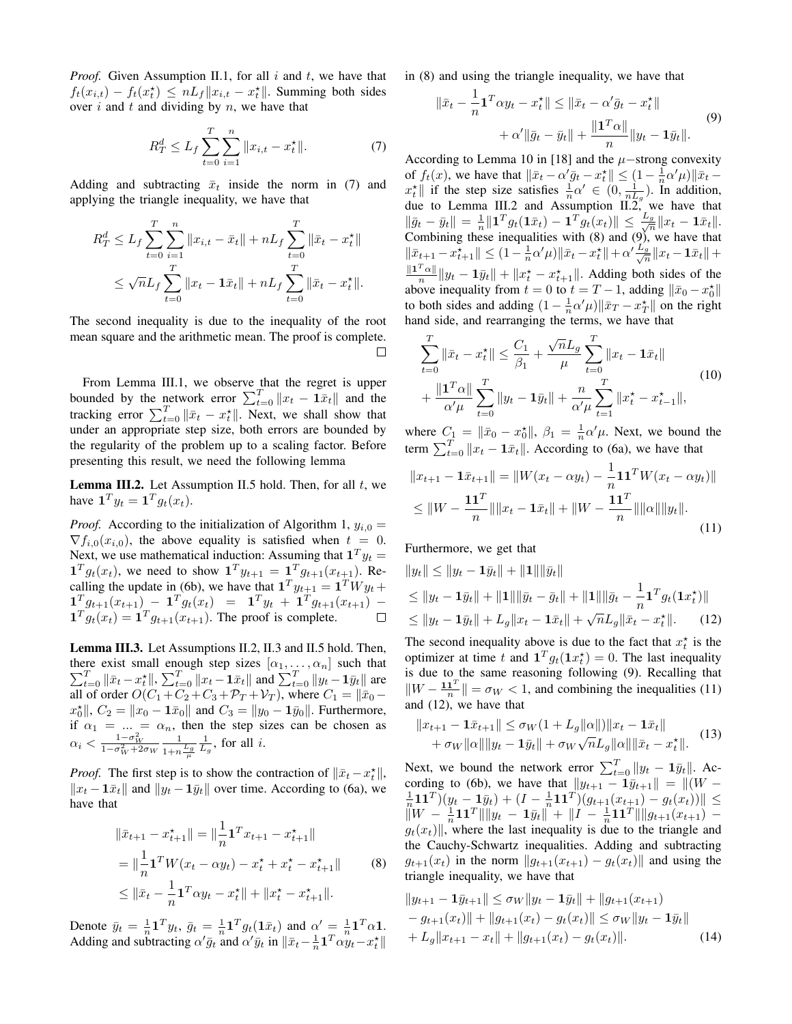*Proof.* Given Assumption II.1, for all  $i$  and  $t$ , we have that  $f_t(x_{i,t}) - f_t(x_t^*) \leq nL_f \|x_{i,t} - x_t^*\|$ . Summing both sides over  $i$  and  $t$  and dividing by  $n$ , we have that

$$
R_T^d \le L_f \sum_{t=0}^T \sum_{i=1}^n \|x_{i,t} - x_t^{\star}\|.
$$
 (7)

Adding and subtracting  $\bar{x}_t$  inside the norm in (7) and applying the triangle inequality, we have that

$$
R_T^d \le L_f \sum_{t=0}^T \sum_{i=1}^n \|x_{i,t} - \bar{x}_t\| + nL_f \sum_{t=0}^T \|\bar{x}_t - x_t^{\star}\|
$$
  

$$
\le \sqrt{n}L_f \sum_{t=0}^T \|x_t - \mathbf{1}\bar{x}_t\| + nL_f \sum_{t=0}^T \|\bar{x}_t - x_t^{\star}\|.
$$

The second inequality is due to the inequality of the root mean square and the arithmetic mean. The proof is complete.  $\Box$ 

From Lemma III.1, we observe that the regret is upper bounded by the network error  $\sum_{t=0}^{T} ||x_t - \mathbf{1} \bar{x}_t||$  and the tracking error  $\sum_{t=0}^{T} ||\bar{x}_t - x_t||$ . Next, we shall show that under an appropriate step size, both errors are bounded by the regularity of the problem up to a scaling factor. Before presenting this result, we need the following lemma

**Lemma III.2.** Let Assumption II.5 hold. Then, for all  $t$ , we have  $\mathbf{1}^T y_t = \mathbf{1}^T g_t(x_t)$ .

*Proof.* According to the initialization of Algorithm 1,  $y_{i,0}$  =  $\nabla f_{i,0}(x_{i,0})$ , the above equality is satisfied when  $t = 0$ . Next, we use mathematical induction: Assuming that  $\mathbf{1}^T y_t =$  $\mathbf{1}^T g_t(x_t)$ , we need to show  $\mathbf{1}^T y_{t+1} = \mathbf{1}^T g_{t+1}(x_{t+1})$ . Recalling the update in (6b), we have that  $\mathbf{1}^T y_{t+1} = \mathbf{1}^T W y_t +$  $\mathbf{1}^T g_{t+1}(x_{t+1}) - \mathbf{1}^T g_t(x_t) = \mathbf{1}^T y_t + \mathbf{1}^T g_{t+1}(x_{t+1}) \mathbf{1}^T g_t(x_t) = \mathbf{1}^T g_{t+1}(x_{t+1})$ . The proof is complete.

Lemma III.3. Let Assumptions II.2, II.3 and II.5 hold. Then,  $\sum$ there exist small enough step sizes  $[\alpha_1, ..., \alpha_n]$  such that  $\sum_{t=0}^T \|\bar{x}_t - x_t^* \|$ ,  $\sum_{t=0}^T \|x_t - \mathbf{1}\bar{x}_t\|$  and  $\sum_{t=0}^T \|y_t - \mathbf{1}\bar{y}_t\|$  are all of order  $O(C_1 + C_2 + C_3 + \mathcal{P}_T + \mathcal{V}_T)$ , where  $C_1 = ||\bar{x}_0 - \bar{x}_0||$  $x_0^*$ ||,  $C_2 = ||x_0 - \mathbf{1} \bar{x}_0||$  and  $C_3 = ||y_0 - \mathbf{1} \bar{y}_0||$ . Furthermore, if  $\alpha_1 = \ldots = \alpha_n$ , then the step sizes can be chosen as  $\alpha_i < \frac{1-\sigma_W^2}{1-\sigma_W^2+2\sigma_W} \frac{1}{1+n}$  $\frac{L_g}{\mu}$  $\frac{1}{L_g}$ , for all i.

*Proof.* The first step is to show the contraction of  $\|\bar{x}_t - x_t^*\|$ ,  $||x_t - \mathbf{1}\bar{x}_t||$  and  $||y_t - \mathbf{1}\bar{y}_t||$  over time. According to (6a), we have that

$$
\|\bar{x}_{t+1} - x_{t+1}^* \| = \|\frac{1}{n} \mathbf{1}^T x_{t+1} - x_{t+1}^* \|
$$
  
\n
$$
= \|\frac{1}{n} \mathbf{1}^T W(x_t - \alpha y_t) - x_t^* + x_t^* - x_{t+1}^* \|
$$
 (8)  
\n
$$
\leq \|\bar{x}_t - \frac{1}{n} \mathbf{1}^T \alpha y_t - x_t^* \| + \|x_t^* - x_{t+1}^* \|.
$$

Denote  $\bar{y}_t = \frac{1}{n} \mathbf{1}^T y_t$ ,  $\bar{g}_t = \frac{1}{n} \mathbf{1}^T g_t(\mathbf{1} \bar{x}_t)$  and  $\alpha' = \frac{1}{n} \mathbf{1}^T \alpha \mathbf{1}$ . Adding and subtracting  $\alpha' \bar{g}_t$  and  $\alpha' \bar{g}_t$  in  $\|\bar{x}_t - \frac{1}{n} \mathbf{1}^T \alpha y_t - x_t^* \|$  in (8) and using the triangle inequality, we have that

$$
\|\bar{x}_t - \frac{1}{n} \mathbf{1}^T \alpha y_t - x_t^{\star}\| \le \|\bar{x}_t - \alpha' \bar{g}_t - x_t^{\star}\| + \alpha' \|\bar{g}_t - \bar{y}_t\| + \frac{\|\mathbf{1}^T \alpha\|}{n} \|y_t - \mathbf{1} \bar{y}_t\|.
$$
 (9)

According to Lemma 10 in [18] and the  $\mu$ −strong convexity of  $f_t(x)$ , we have that  $\|\bar{x}_t - \alpha'\bar{g}_t - x_t^* \| \leq (1 - \frac{1}{n} \alpha' \mu) \|\bar{x}_t - x_t^* \|$  $x_t^*$  if the step size satisfies  $\frac{1}{n} \alpha' \in (0, \frac{1}{nL_g})$ . In addition, due to Lemma III.2 and Assumption II.2, we have that  $\|\bar{g}_t - \bar{y}_t\| = \frac{1}{n} \|\mathbf{1}^T g_t(\mathbf{1}\bar{x}_t) - \mathbf{1}^T g_t(x_t)\| \leq \frac{L_g}{\sqrt{n}}$  $\frac{g}{n} \|x_t - \mathbf{1}\bar{x}_t\|.$ Combining these inequalities with (8) and (9), we have that  $\|\bar{x}_{t+1} - x_{t+1}^{\star}\| \leq (1 - \frac{1}{n}\alpha' \mu) \|\bar{x}_t - x_t^{\star}\| + \alpha' \frac{L_g}{\sqrt{n}}$  $\frac{g}{\overline{n}}\|x_t - \mathbf{1}\bar{x}_t\| +$  $\|\mathbf{1}^T\boldsymbol{\alpha}\|$  $\frac{d}{n} \frac{\alpha}{n} \|y_t - \mathbf{1}\bar{y}_t\| + \|x_t^* - x_{t+1}^*\|$ . Adding both sides of the above inequality from  $t = 0$  to  $t = T - 1$ , adding  $\|\bar{x}_0 - x_0^{\star}\|$ to both sides and adding  $(1 - \frac{1}{n} \alpha' \mu) ||\bar{x}_T - x_T^*||$  on the right hand side, and rearranging the terms, we have that

$$
\sum_{t=0}^{T} \|\bar{x}_t - x_t^{\star}\| \le \frac{C_1}{\beta_1} + \frac{\sqrt{n}L_g}{\mu} \sum_{t=0}^{T} \|x_t - \mathbf{1}\bar{x}_t\|
$$
  
+ 
$$
\frac{\|\mathbf{1}^T\alpha\|}{\alpha'\mu} \sum_{t=0}^{T} \|y_t - \mathbf{1}\bar{y}_t\| + \frac{n}{\alpha'\mu} \sum_{t=1}^{T} \|x_t^{\star} - x_{t-1}^{\star}\|,
$$
 (10)

where  $C_1 = ||\bar{x}_0 - x_0||$ ,  $\beta_1 = \frac{1}{n} \alpha' \mu$ . Next, we bound the term  $\sum_{t=0}^{T} ||x_t - \mathbf{1} \bar{x}_t||$ . According to (6a), we have that

$$
||x_{t+1} - \mathbf{1}\bar{x}_{t+1}|| = ||W(x_t - \alpha y_t) - \frac{1}{n}\mathbf{1}\mathbf{1}^T W(x_t - \alpha y_t)||
$$
  
\n
$$
\leq ||W - \frac{\mathbf{1}\mathbf{1}^T}{n}|| ||x_t - \mathbf{1}\bar{x}_t|| + ||W - \frac{\mathbf{1}\mathbf{1}^T}{n}|| ||\alpha|| ||y_t||. \tag{11}
$$

Furthermore, we get that

$$
||y_t|| \le ||y_t - \mathbf{1}\bar{y}_t|| + ||\mathbf{1}|| ||\bar{y}_t||
$$
  
\n
$$
\le ||y_t - \mathbf{1}\bar{y}_t|| + ||\mathbf{1}|| ||\bar{y}_t - \bar{y}_t|| + ||\mathbf{1}|| ||\bar{y}_t - \frac{1}{n} \mathbf{1}^T g_t(\mathbf{1}x_t^*)||
$$
  
\n
$$
\le ||y_t - \mathbf{1}\bar{y}_t|| + L_g ||x_t - \mathbf{1}\bar{x}_t|| + \sqrt{n}L_g ||\bar{x}_t - x_t^*||. \tag{12}
$$

The second inequality above is due to the fact that  $x_t^*$  is the optimizer at time t and  $\mathbf{1}^T g_t(\mathbf{1} x_t^*) = 0$ . The last inequality is due to the same reasoning following (9). Recalling that  $\|W - \frac{\mathbf{1} \cdot \mathbf{1}^T}{n}\| = \sigma_W < 1$ , and combining the inequalities (11) and (12), we have that

$$
||x_{t+1} - \mathbf{1}\bar{x}_{t+1}|| \leq \sigma_W (1 + L_g ||\alpha||) ||x_t - \mathbf{1}\bar{x}_t|| + \sigma_W ||\alpha|| ||y_t - \mathbf{1}\bar{y}_t|| + \sigma_W \sqrt{n} L_g ||\alpha|| ||\bar{x}_t - x_t^*||.
$$
 (13)

Next, we bound the network error  $\sum_{t=0}^{T} ||y_t - \mathbf{1} \bar{y}_t||$ . According to (6b), we have that  $||y_{t+1} - \mathbf{1} \bar{y}_{t+1}|| = ||(W - \frac{1}{n} \mathbf{1} \mathbf{1}^T)(y_t - \mathbf{1} \bar{y}_t) + (I - \frac{1}{n} \mathbf{1} \mathbf{1}^T)(g_{t+1}(x_{t+1}) - g_t(x_t))|| \le$  $\|W - \frac{1}{n} \mathbf{1} \mathbf{1}^T\| \|y_t - \mathbf{1} \bar{y}_t\|^2 + \|I - \frac{1}{n} \mathbf{1} \mathbf{1}^T\| \|g_{t+1}(x_{t+1})$  $g_t(x_t)$ , where the last inequality is due to the triangle and the Cauchy-Schwartz inequalities. Adding and subtracting  $g_{t+1}(x_t)$  in the norm  $||g_{t+1}(x_{t+1}) - g_t(x_t)||$  and using the triangle inequality, we have that

$$
||y_{t+1} - \mathbf{1}\bar{y}_{t+1}|| \leq \sigma_W ||y_t - \mathbf{1}\bar{y}_t|| + ||g_{t+1}(x_{t+1})
$$
  
\n
$$
-g_{t+1}(x_t)|| + ||g_{t+1}(x_t) - g_t(x_t)|| \leq \sigma_W ||y_t - \mathbf{1}\bar{y}_t||
$$
  
\n
$$
+ L_g ||x_{t+1} - x_t|| + ||g_{t+1}(x_t) - g_t(x_t)||. \tag{14}
$$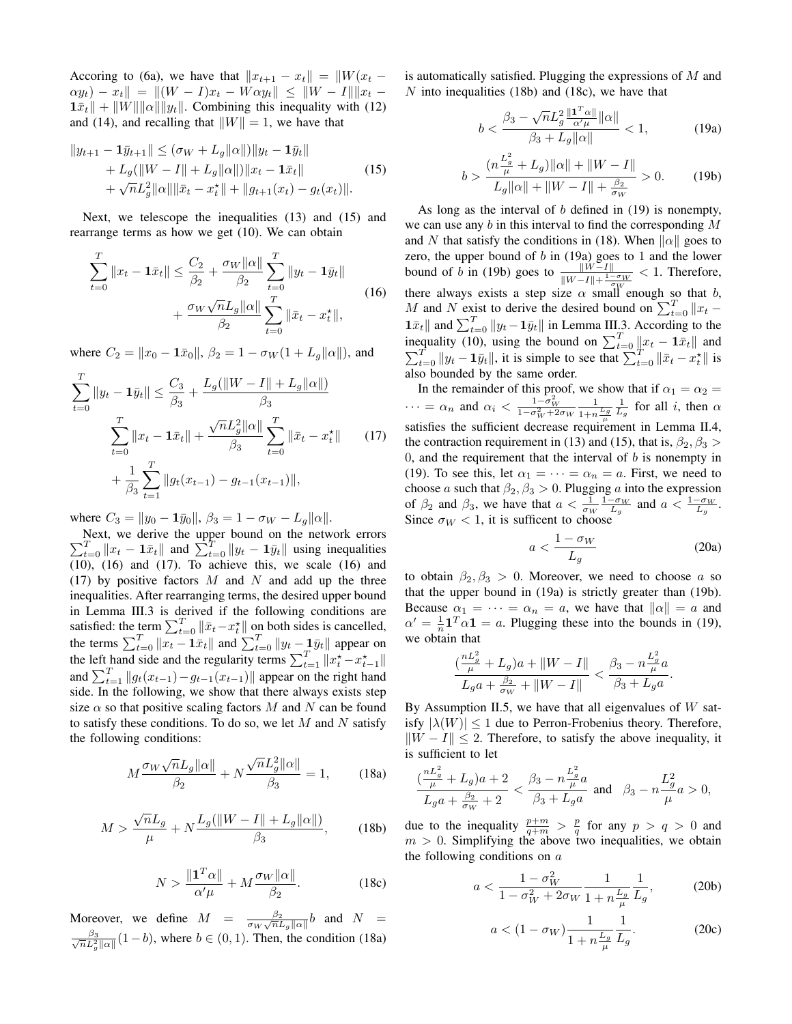Accoring to (6a), we have that  $||x_{t+1} - x_t|| = ||W(x_t \alpha y_t - x_t$  =  $||(W - I)x_t - W\alpha y_t|| \leq ||W - I|| ||x_t \|\mathbf{x}_t\| + \|W\| \|\alpha\| \|y_t\|$ . Combining this inequality with (12) and (14), and recalling that  $||W|| = 1$ , we have that

$$
||y_{t+1} - \mathbf{1}\bar{y}_{t+1}|| \leq (\sigma_W + L_g ||\alpha||) ||y_t - \mathbf{1}\bar{y}_t|| + L_g (||W - I|| + L_g ||\alpha||) ||x_t - \mathbf{1}\bar{x}_t|| + \sqrt{n}L_g^2 ||\alpha|| ||\bar{x}_t - x_t^*|| + ||g_{t+1}(x_t) - g_t(x_t)||.
$$
 (15)

Next, we telescope the inequalities (13) and (15) and rearrange terms as how we get (10). We can obtain

$$
\sum_{t=0}^{T} \|x_t - \mathbf{1}\bar{x}_t\| \le \frac{C_2}{\beta_2} + \frac{\sigma_W \|\alpha\|}{\beta_2} \sum_{t=0}^{T} \|y_t - \mathbf{1}\bar{y}_t\|
$$
  
+ 
$$
\frac{\sigma_W \sqrt{n} L_g \|\alpha\|}{\beta_2} \sum_{t=0}^{T} \|\bar{x}_t - x_t^{\star}\|,
$$
 (16)

where  $C_2 = ||x_0 - \mathbf{1}\bar{x}_0||$ ,  $\beta_2 = 1 - \sigma_W(1 + L_g||\alpha||)$ , and

$$
\sum_{t=0}^{T} \|y_t - \mathbf{1}\bar{y}_t\| \le \frac{C_3}{\beta_3} + \frac{L_g(\|W - I\| + L_g\|\alpha\|)}{\beta_3}
$$

$$
\sum_{t=0}^{T} \|x_t - \mathbf{1}\bar{x}_t\| + \frac{\sqrt{n}L_g^2\|\alpha\|}{\beta_3} \sum_{t=0}^{T} \|\bar{x}_t - x_t^*\| \qquad (17)
$$

$$
+ \frac{1}{\beta_3} \sum_{t=1}^{T} \|g_t(x_{t-1}) - g_{t-1}(x_{t-1})\|,
$$

where  $C_3 = ||y_0 - \mathbf{1}\bar{y}_0||$ ,  $\beta_3 = 1 - \sigma_W - L_g ||\alpha||$ .

 $\sum_{t=0}^{T} ||x_t - \mathbf{1} \bar{x}_t||$  and  $\sum_{t=0}^{T} ||y_t - \mathbf{1} \bar{y}_t||$  using inequalities Next, we derive the upper bound on the network errors (10), (16) and (17). To achieve this, we scale (16) and (17) by positive factors  $M$  and  $N$  and add up the three inequalities. After rearranging terms, the desired upper bound in Lemma III.3 is derived if the following conditions are satisfied: the term  $\sum_{t=0}^{T} ||\bar{x}_t - x_t||$  on both sides is cancelled, the terms  $\sum_{t=0}^{T} ||x_t - \mathbf{1}x_t||$  and  $\sum_{t=0}^{T} ||y_t - \mathbf{1}y_t||$  appear on the left hand side and the regularity terms  $\sum_{t=1}^{T} ||x_t^* - x_{t-1}^*||$ and  $\sum_{t=1}^{T} ||g_t(x_{t-1}) - g_{t-1}(x_{t-1})||$  appear on the right hand side. In the following, we show that there always exists step size  $\alpha$  so that positive scaling factors M and N can be found to satisfy these conditions. To do so, we let  $M$  and  $N$  satisfy the following conditions:

$$
M\frac{\sigma_W\sqrt{n}L_g\|\alpha\|}{\beta_2} + N\frac{\sqrt{n}L_g^2\|\alpha\|}{\beta_3} = 1,
$$
 (18a)

$$
M > \frac{\sqrt{n}L_g}{\mu} + N \frac{L_g(||W - I|| + L_g||\alpha||)}{\beta_3},
$$
 (18b)

$$
N > \frac{\|\mathbf{1}^T\alpha\|}{\alpha'\mu} + M \frac{\sigma_W \|\alpha\|}{\beta_2}.
$$
 (18c)

Moreover, we define  $M = \frac{\beta_2}{\sigma w_1 \sqrt{n}}$  $\frac{\beta_2}{\sigma_W \sqrt{n} L_g ||\alpha||} b$  and  $N =$  $\frac{\beta_3}{\sqrt{n}L_g^2||\alpha||}(1-b)$ , where  $b \in (0,1)$ . Then, the condition (18a) is automatically satisfied. Plugging the expressions of  $M$  and  $N$  into inequalities (18b) and (18c), we have that

$$
b < \frac{\beta_3 - \sqrt{n} L_g^2 \frac{\|1^T \alpha\|}{\alpha' \mu} \|\alpha\|}{\beta_3 + L_g \|\alpha\|} < 1,
$$
 (19a)

$$
b > \frac{(n\frac{L_g^2}{\mu} + L_g)\|\alpha\| + \|W - I\|}{L_g \|\alpha\| + \|W - I\| + \frac{\beta_2}{\sigma_W}} > 0.
$$
 (19b)

As long as the interval of b defined in (19) is nonempty, we can use any b in this interval to find the corresponding M and N that satisfy the conditions in (18). When  $\|\alpha\|$  goes to zero, the upper bound of  $b$  in (19a) goes to 1 and the lower bound of b in (19b) goes to  $\frac{||W-I||}{||W-I||+\frac{1-\sigma_W}{\sigma_W}} < 1$ . Therefore, there always exists a step size  $\alpha$  small enough so that b, M and N exist to derive the desired bound on  $\sum_{t=0}^{T} ||x_t \mathbf{1}\bar{x}_t$ || and  $\sum_{t=0}^T ||y_t - \mathbf{1}\bar{y}_t||$  in Lemma III.3. According to the inequality (10), using the bound on  $\sum_{t=0}^{T} ||x_t - \mathbf{1}x_t||$  and  $\sum_{t=0}^{T} ||y_t - \mathbf{1} \bar{y}_t||$ , it is simple to see that  $\sum_{t=0}^{T} ||\bar{x}_t - x_t||$  is also bounded by the same order.

In the remainder of this proof, we show that if  $\alpha_1 = \alpha_2 =$  $\cdots = \alpha_n$  and  $\alpha_i < \frac{1-\sigma_W^2}{1-\sigma_W^2+2\sigma_W} \frac{1}{1+n}$  $1+n\frac{L_g}{\mu}$  $\frac{1}{L_g}$  for all i, then  $\alpha$ satisfies the sufficient decrease requirement in Lemma II.4, the contraction requirement in (13) and (15), that is,  $\beta_2$ ,  $\beta_3$ 0, and the requirement that the interval of  $b$  is nonempty in (19). To see this, let  $\alpha_1 = \cdots = \alpha_n = a$ . First, we need to choose a such that  $\beta_2, \beta_3 > 0$ . Plugging a into the expression of  $\beta_2$  and  $\beta_3$ , we have that  $a < \frac{1}{\sigma_W} \frac{1-\sigma_W}{L_g}$  and  $a < \frac{1-\sigma_W}{L_g}$ . Since  $\sigma_W < 1$ , it is sufficent to choose

$$
a < \frac{1 - \sigma_W}{L_g} \tag{20a}
$$

to obtain  $\beta_2, \beta_3 > 0$ . Moreover, we need to choose a so that the upper bound in (19a) is strictly greater than (19b). Because  $\alpha_1 = \cdots = \alpha_n = a$ , we have that  $\|\alpha\| = a$  and  $\alpha' = \frac{1}{n} \mathbf{1}^T \alpha \mathbf{1} = a$ . Plugging these into the bounds in (19), we obtain that

$$
\frac{(\frac{nL_g^2}{\mu} + L_g)a + ||W - I||}{L_g a + \frac{\beta_2}{\sigma_W} + ||W - I||} < \frac{\beta_3 - n\frac{L_g^2}{\mu}a}{\beta_3 + L_g a}.
$$

By Assumption II.5, we have that all eigenvalues of  $W$  satisfy  $|\lambda(W)| \leq 1$  due to Perron-Frobenius theory. Therefore,  $\|W - I\| \leq 2$ . Therefore, to satisfy the above inequality, it is sufficient to let

$$
\frac{(\frac{nL_g^2}{\mu} + L_g)a + 2}{L_g a + \frac{\beta_2}{\sigma_W} + 2} < \frac{\beta_3 - n\frac{L_g^2}{\mu}a}{\beta_3 + L_g a} \text{ and } \beta_3 - n\frac{L_g^2}{\mu}a > 0,
$$

2

due to the inequality  $\frac{p+m}{q+m} > \frac{p}{q}$  for any  $p > q > 0$  and  $m > 0$ . Simplifying the above two inequalities, we obtain the following conditions on  $a$ 

$$
a < \frac{1 - \sigma_W^2}{1 - \sigma_W^2 + 2\sigma_W} \frac{1}{1 + n\frac{L_g}{\mu}} \frac{1}{L_g},\tag{20b}
$$

$$
a < (1 - \sigma_W) \frac{1}{1 + n\frac{L_g}{\mu}} \frac{1}{L_g}.\tag{20c}
$$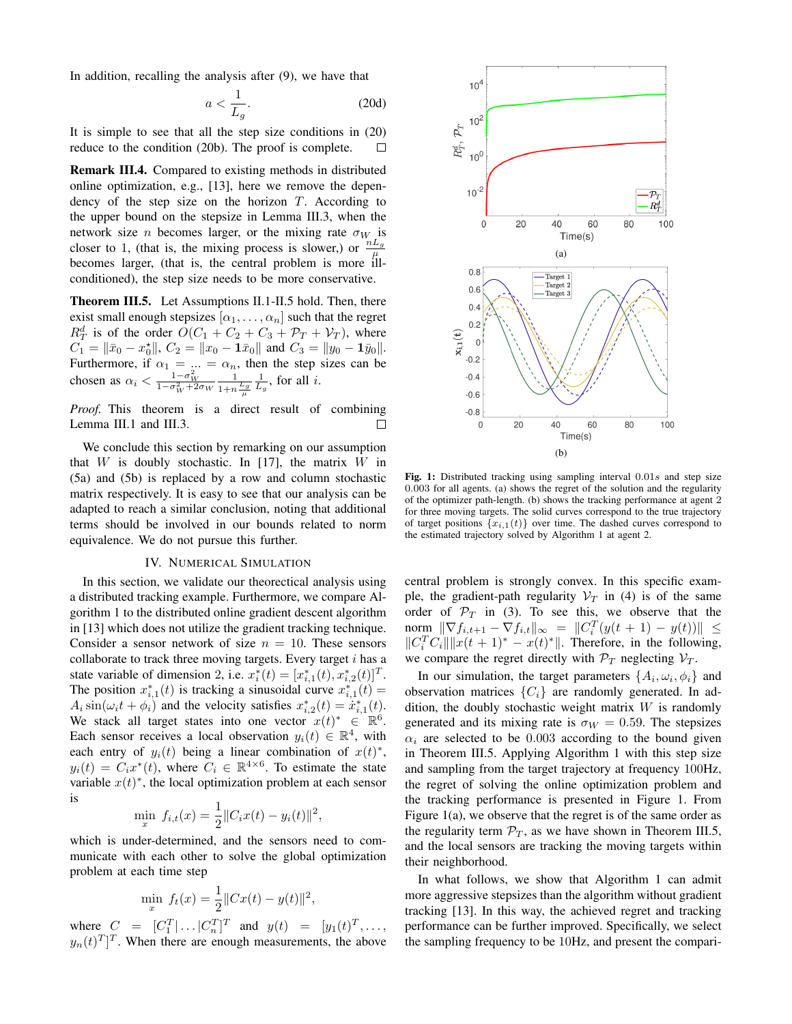In addition, recalling the analysis after (9), we have that

$$
a < \frac{1}{L_g}.\tag{20d}
$$

It is simple to see that all the step size conditions in (20) reduce to the condition (20b). The proof is complete.  $\Box$ 

Remark III.4. Compared to existing methods in distributed online optimization, e.g., [13], here we remove the dependency of the step size on the horizon  $T$ . According to the upper bound on the stepsize in Lemma III.3, when the network size *n* becomes larger, or the mixing rate  $\sigma_W$  is closer to 1, (that is, the mixing process is slower,) or  $\frac{nL_g}{\mu}$ becomes larger, (that is, the central problem is more illconditioned), the step size needs to be more conservative.

Theorem III.5. Let Assumptions II.1-II.5 hold. Then, there exist small enough stepsizes  $[\alpha_1, \ldots, \alpha_n]$  such that the regret  $R_T^d$  is of the order  $O(C_1 + C_2 + C_3 + \mathcal{P}_T + \mathcal{V}_T)$ , where  $C_1 = ||\bar{x}_0 - x_0^*||$ ,  $C_2 = ||x_0 - \mathbf{1}\bar{x}_0||$  and  $C_3 = ||y_0 - \mathbf{1}\bar{y}_0||$ . Furthermore, if  $\alpha_1 = \ldots = \alpha_n$ , then the step sizes can be chosen as  $\alpha_i < \frac{1-\sigma_W^2}{1-\sigma_W^2+2\sigma_W} \frac{1}{1+n}$  $1+n\frac{L_g}{\mu}$  $\frac{1}{L_g}$ , for all i.

*Proof.* This theorem is a direct result of combining Lemma III.1 and III.3.  $\Box$ 

We conclude this section by remarking on our assumption that W is doubly stochastic. In [17], the matrix  $W$  in (5a) and (5b) is replaced by a row and column stochastic matrix respectively. It is easy to see that our analysis can be adapted to reach a similar conclusion, noting that additional terms should be involved in our bounds related to norm equivalence. We do not pursue this further.

#### IV. NUMERICAL SIMULATION

In this section, we validate our theorectical analysis using a distributed tracking example. Furthermore, we compare Algorithm 1 to the distributed online gradient descent algorithm in [13] which does not utilize the gradient tracking technique. Consider a sensor network of size  $n = 10$ . These sensors collaborate to track three moving targets. Every target  $i$  has a state variable of dimension 2, i.e.  $x_i^*(t) = [x_{i,1}^*(t), x_{i,2}^*(t)]^T$ . The position  $x_{i,1}^*(t)$  is tracking a sinusoidal curve  $x_{i,1}^*(t) =$  $A_i \sin(\omega_i t + \phi_i)$  and the velocity satisfies  $x_{i,2}^*(t) = x_{i,1}^*(t)$ . We stack all target states into one vector  $x(t)^* \in \mathbb{R}^6$ . Each sensor receives a local observation  $y_i(t) \in \mathbb{R}^4$ , with each entry of  $y_i(t)$  being a linear combination of  $x(t)^*$ ,  $y_i(t) = C_i x^*(t)$ , where  $C_i \in \mathbb{R}^{4 \times 6}$ . To estimate the state variable  $x(t)^*$ , the local optimization problem at each sensor is

$$
\min_{x} f_{i,t}(x) = \frac{1}{2} ||C_i x(t) - y_i(t)||^2,
$$

which is under-determined, and the sensors need to communicate with each other to solve the global optimization problem at each time step

$$
\min_{x} f_t(x) = \frac{1}{2} ||Cx(t) - y(t)||^2,
$$

where  $C = [C_1^T | \dots | C_n^T]^T$  and  $y(t) = [y_1(t)^T, \dots,$  $y_n(t)^T$ <sup>T</sup>. When there are enough measurements, the above



Fig. 1: Distributed tracking using sampling interval 0.01s and step size 0.003 for all agents. (a) shows the regret of the solution and the regularity of the optimizer path-length. (b) shows the tracking performance at agent 2 for three moving targets. The solid curves correspond to the true trajectory of target positions  $\{x_{i,1}(t)\}$  over time. The dashed curves correspond to the estimated trajectory solved by Algorithm 1 at agent 2.

central problem is strongly convex. In this specific example, the gradient-path regularity  $V_T$  in (4) is of the same order of  $\mathcal{P}_T$  in (3). To see this, we observe that the norm  $\|\nabla f_{i,t+1} - \nabla f_{i,t}\|_{\infty} = \|C_i^T(y(t + 1) - y(t))\|$   $\leq$  $||C_i^T C_i|| ||x(t+1)*-x(t)*||$ . Therefore, in the following, we compare the regret directly with  $\mathcal{P}_T$  neglecting  $\mathcal{V}_T$ .

In our simulation, the target parameters  $\{A_i, \omega_i, \phi_i\}$  and observation matrices  $\{C_i\}$  are randomly generated. In addition, the doubly stochastic weight matrix  $W$  is randomly generated and its mixing rate is  $\sigma_W = 0.59$ . The stepsizes  $\alpha_i$  are selected to be 0.003 according to the bound given in Theorem III.5. Applying Algorithm 1 with this step size and sampling from the target trajectory at frequency 100Hz, the regret of solving the online optimization problem and the tracking performance is presented in Figure 1. From Figure 1(a), we observe that the regret is of the same order as the regularity term  $\mathcal{P}_T$ , as we have shown in Theorem III.5, and the local sensors are tracking the moving targets within their neighborhood.

In what follows, we show that Algorithm 1 can admit more aggressive stepsizes than the algorithm without gradient tracking [13]. In this way, the achieved regret and tracking performance can be further improved. Specifically, we select the sampling frequency to be 10Hz, and present the compari-